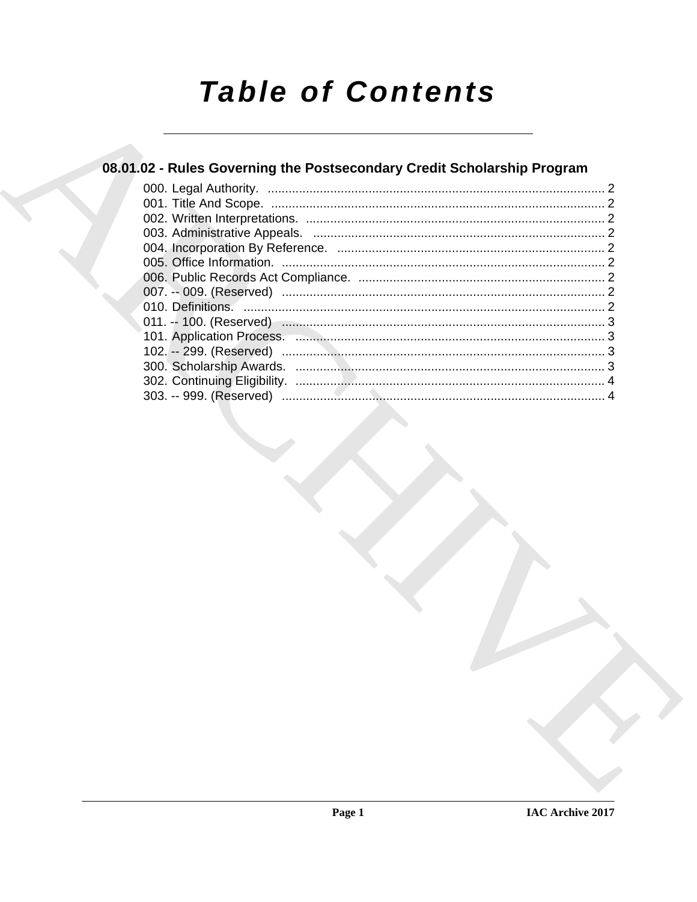# **Table of Contents**

### 08.01.02 - Rules Governing the Postsecondary Credit Scholarship Program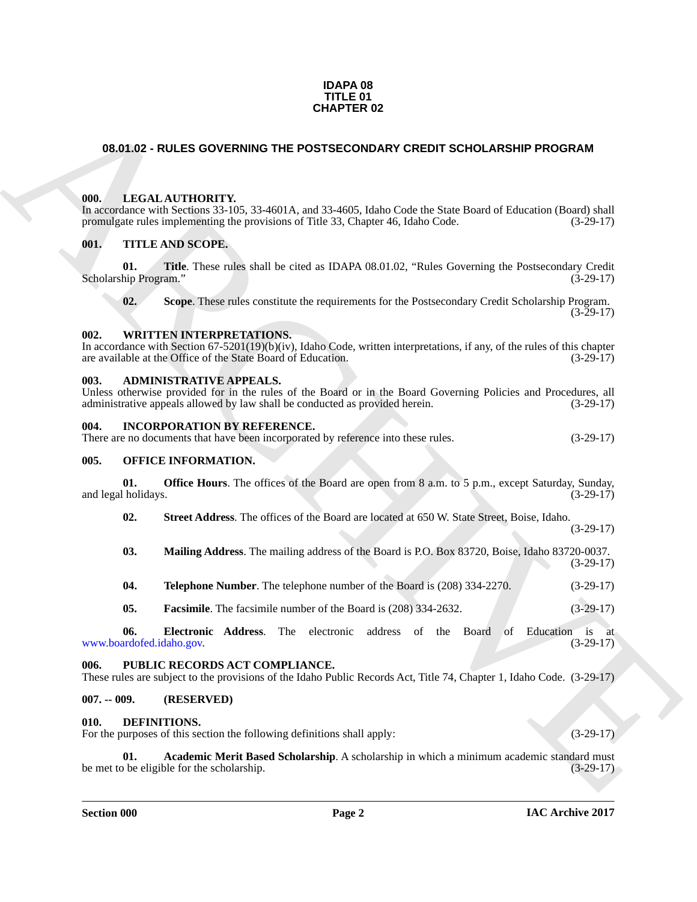#### **IDAPA 08 TITLE 01 CHAPTER 02**

#### <span id="page-1-0"></span>**08.01.02 - RULES GOVERNING THE POSTSECONDARY CREDIT SCHOLARSHIP PROGRAM**

#### <span id="page-1-14"></span><span id="page-1-1"></span>**000. LEGAL AUTHORITY.**

In accordance with Sections 33-105, 33-4601A, and 33-4605, Idaho Code the State Board of Education (Board) shall promulgate rules implementing the provisions of Title 33, Chapter 46, Idaho Code. (3-29-17)

#### <span id="page-1-23"></span><span id="page-1-2"></span>**001. TITLE AND SCOPE.**

**CHAPTER 02**<br> **CHAPTER 02**<br> **CHAPTER COVERNING THE POSTSECONDARY CREDIT SCHOLARSHIP PROGRAM**<br> **CHAPTER COVERNING** TO 360 A. and 33 460 A. and 33 460 Code 46, blanc Code 16 Sizes Dourt of Education (Book) shall<br> **CHAPTER C 01. Title**. These rules shall be cited as IDAPA 08.01.02, "Rules Governing the Postsecondary Credit Scholarship Program."

<span id="page-1-26"></span><span id="page-1-25"></span><span id="page-1-24"></span>**02. Scope**. These rules constitute the requirements for the Postsecondary Credit Scholarship Program.  $(3-29-17)$ 

#### <span id="page-1-3"></span>**002. WRITTEN INTERPRETATIONS.**

In accordance with Section 67-5201(19)(b)(iv), Idaho Code, written interpretations, if any, of the rules of this chapter are available at the Office of the State Board of Education.  $(3-29-17)$ are available at the Office of the State Board of Education.

#### <span id="page-1-10"></span><span id="page-1-4"></span>**003. ADMINISTRATIVE APPEALS.**

Unless otherwise provided for in the rules of the Board or in the Board Governing Policies and Procedures, all administrative appeals allowed by law shall be conducted as provided herein. (3-29-17)

#### <span id="page-1-13"></span><span id="page-1-5"></span>**004. INCORPORATION BY REFERENCE.**

There are no documents that have been incorporated by reference into these rules. (3-29-17)

#### <span id="page-1-15"></span><span id="page-1-6"></span>**005. OFFICE INFORMATION.**

**01. Office Hours**. The offices of the Board are open from 8 a.m. to 5 p.m., except Saturday, Sunday, and legal holidays. (3-29-17)

<span id="page-1-20"></span><span id="page-1-19"></span>**02. Street Address**. The offices of the Board are located at 650 W. State Street, Boise, Idaho.

- <span id="page-1-18"></span>**03. Mailing Address**. The mailing address of the Board is P.O. Box 83720, Boise, Idaho 83720-0037.
- <span id="page-1-21"></span>**04. Telephone Number**. The telephone number of the Board is (208) 334-2270. (3-29-17)
- <span id="page-1-17"></span><span id="page-1-16"></span>**05. Facsimile**. The facsimile number of the Board is (208) 334-2632. (3-29-17)

**06. Electronic Address**. The electronic address of the Board of Education is at www.boardofed.idaho.gov. (3-29-17)

#### <span id="page-1-22"></span><span id="page-1-7"></span>**006. PUBLIC RECORDS ACT COMPLIANCE.**

These rules are subject to the provisions of the Idaho Public Records Act, Title 74, Chapter 1, Idaho Code. (3-29-17)

#### <span id="page-1-8"></span>**007. -- 009. (RESERVED)**

#### <span id="page-1-11"></span><span id="page-1-9"></span>**010. DEFINITIONS.**

For the purposes of this section the following definitions shall apply: (3-29-17)

(3-29-17)

(3-29-17)

<span id="page-1-12"></span>**01. Academic Merit Based Scholarship**. A scholarship in which a minimum academic standard must be met to be eligible for the scholarship. (3-29-17)

**Section 000 Page 2**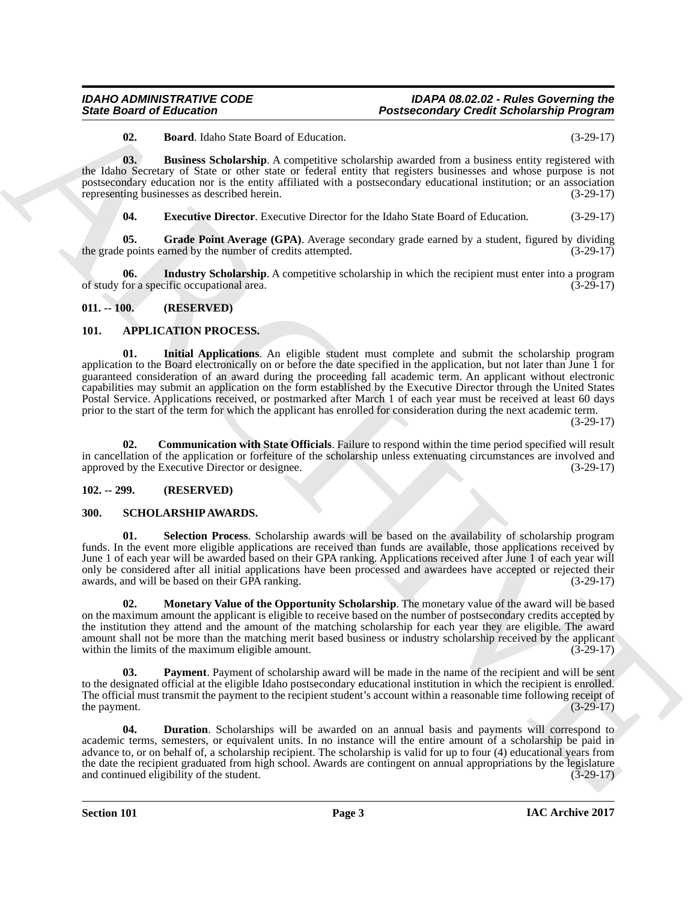#### *IDAHO ADMINISTRATIVE CODE IDAPA 08.02.02 - Rules Governing the* **Postsecondary Credit Scholarship Program**

<span id="page-2-13"></span><span id="page-2-12"></span>**02. Board**. Idaho State Board of Education. (3-29-17)

**03.** Business Scholarship. A competitive scholarship awarded from a business entity registered with the Idaho Secretary of State or other state or federal entity that registers businesses and whose purpose is not postsecondary education nor is the entity affiliated with a postsecondary educational institution; or an association representing businesses as described herein. (3-29-17)

<span id="page-2-16"></span><span id="page-2-15"></span><span id="page-2-14"></span>**04. Executive Director**. Executive Director for the Idaho State Board of Education. (3-29-17)

**05.** Grade Point Average (GPA). Average secondary grade earned by a student, figured by dividing points earned by the number of credits attempted. (3-29-17) the grade points earned by the number of credits attempted.

**06.** Industry Scholarship. A competitive scholarship in which the recipient must enter into a program for a specific occupational area. of study for a specific occupational area.

#### <span id="page-2-0"></span>**011. -- 100. (RESERVED)**

#### <span id="page-2-7"></span><span id="page-2-4"></span><span id="page-2-1"></span>**101. APPLICATION PROCESS.**

**State Groot of Enkoration**<br> **Postarionism** (**ARCHIVES**)<br> **Contract Contract Contract Contract Contract Contract Contract Contract Contract Contract Contract Contract Contract Contract Contract Contract Contract Contract 01. Initial Applications**. An eligible student must complete and submit the scholarship program application to the Board electronically on or before the date specified in the application, but not later than June 1 for guaranteed consideration of an award during the proceeding fall academic term. An applicant without electronic capabilities may submit an application on the form established by the Executive Director through the United States Postal Service. Applications received, or postmarked after March 1 of each year must be received at least 60 days prior to the start of the term for which the applicant has enrolled for consideration during the next academic term.

(3-29-17)

<span id="page-2-5"></span>**02. Communication with State Officials**. Failure to respond within the time period specified will result in cancellation of the application or forfeiture of the scholarship unless extenuating circumstances are involved and approved by the Executive Director or designee. (3-29-17)

#### <span id="page-2-2"></span>**102. -- 299. (RESERVED)**

#### <span id="page-2-10"></span><span id="page-2-3"></span>**300. SCHOLARSHIP AWARDS.**

<span id="page-2-11"></span>**01. Selection Process**. Scholarship awards will be based on the availability of scholarship program funds. In the event more eligible applications are received than funds are available, those applications received by June 1 of each year will be awarded based on their GPA ranking. Applications received after June 1 of each year will only be considered after all initial applications have been processed and awardees have accepted or rejected their<br>(3-29-17) (3-29-17) awards, and will be based on their GPA ranking.

<span id="page-2-8"></span>**02. Monetary Value of the Opportunity Scholarship**. The monetary value of the award will be based on the maximum amount the applicant is eligible to receive based on the number of postsecondary credits accepted by the institution they attend and the amount of the matching scholarship for each year they are eligible. The award amount shall not be more than the matching merit based business or industry scholarship received by the applicant within the limits of the maximum eligible amount. within the limits of the maximum eligible amount.

<span id="page-2-9"></span>**Payment**. Payment of scholarship award will be made in the name of the recipient and will be sent to the designated official at the eligible Idaho postsecondary educational institution in which the recipient is enrolled. The official must transmit the payment to the recipient student's account within a reasonable time following receipt of the payment. (3-29-17) the payment.

<span id="page-2-6"></span>**04. Duration**. Scholarships will be awarded on an annual basis and payments will correspond to academic terms, semesters, or equivalent units. In no instance will the entire amount of a scholarship be paid in advance to, or on behalf of, a scholarship recipient. The scholarship is valid for up to four (4) educational years from the date the recipient graduated from high school. Awards are contingent on annual appropriations by the legislature and continued eligibility of the student. and continued eligibility of the student.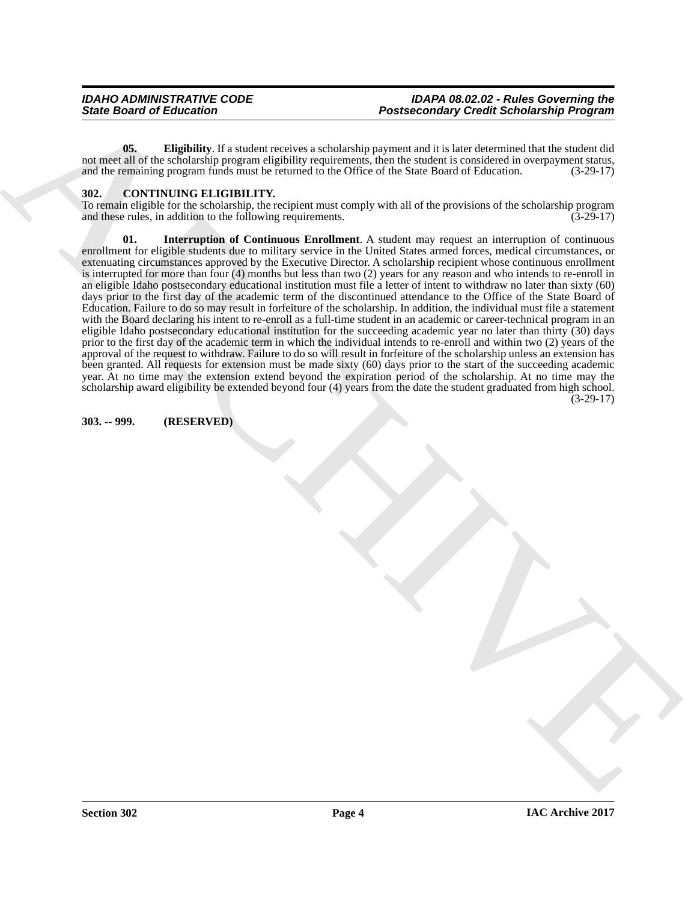<span id="page-3-2"></span>**05. Eligibility**. If a student receives a scholarship payment and it is later determined that the student did not meet all of the scholarship program eligibility requirements, then the student is considered in overpayment status, and the remaining program funds must be returned to the Office of the State Board of Education. (3-29-17)

#### <span id="page-3-3"></span><span id="page-3-0"></span>**302. CONTINUING ELIGIBILITY.**

<span id="page-3-4"></span>To remain eligible for the scholarship, the recipient must comply with all of the provisions of the scholarship program and these rules, in addition to the following requirements.  $(3-29-17)$ 

**Posteroide of Eulerance Constraints** (Second School Associates) and the internal constraints (Second School Associates) and the internal constraints (Second School Associates) and the internal constraints (Second School **Interruption of Continuous Enrollment**. A student may request an interruption of continuous enrollment for eligible students due to military service in the United States armed forces, medical circumstances, or extenuating circumstances approved by the Executive Director. A scholarship recipient whose continuous enrollment is interrupted for more than four (4) months but less than two (2) years for any reason and who intends to re-enroll in an eligible Idaho postsecondary educational institution must file a letter of intent to withdraw no later than sixty (60) days prior to the first day of the academic term of the discontinued attendance to the Office of the State Board of Education. Failure to do so may result in forfeiture of the scholarship. In addition, the individual must file a statement with the Board declaring his intent to re-enroll as a full-time student in an academic or career-technical program in an eligible Idaho postsecondary educational institution for the succeeding academic year no later than thirty (30) days prior to the first day of the academic term in which the individual intends to re-enroll and within two (2) years of the approval of the request to withdraw. Failure to do so will result in forfeiture of the scholarship unless an extension has been granted. All requests for extension must be made sixty (60) days prior to the start of the succeeding academic year. At no time may the extension extend beyond the expiration period of the scholarship. At no time may the scholarship award eligibility be extended beyond four (4) years from the date the student graduated from high school. (3-29-17)

#### <span id="page-3-1"></span>**303. -- 999. (RESERVED)**